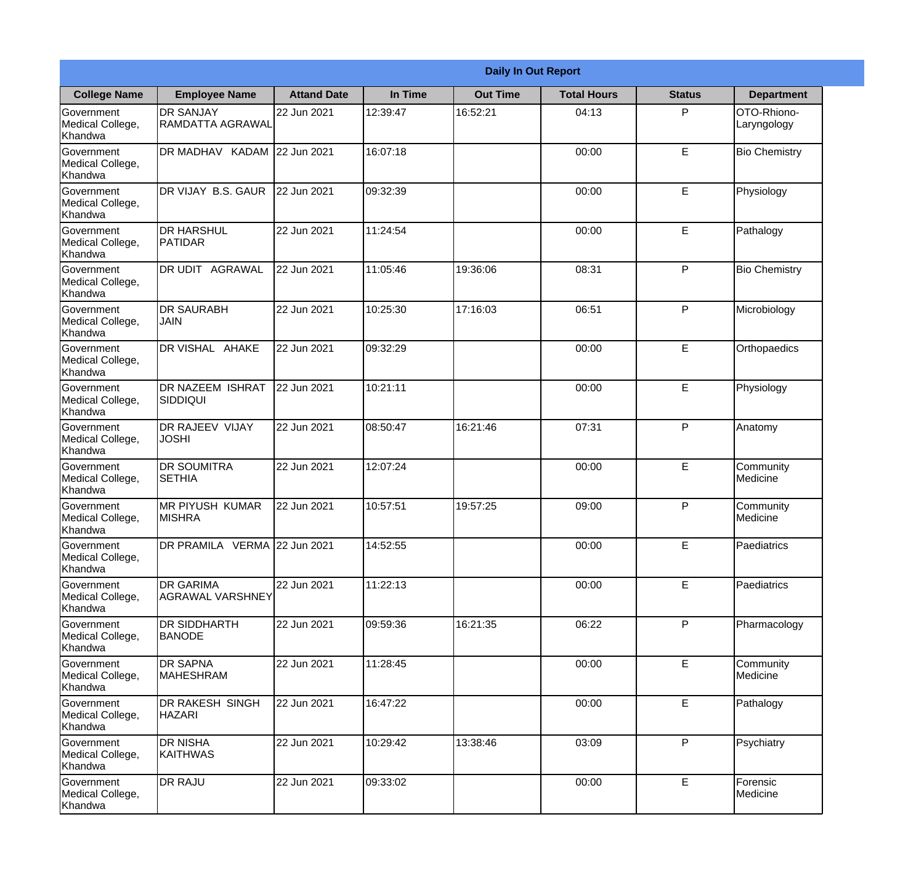|                                           | <b>Daily In Out Report</b>                  |                    |          |                 |                    |               |                            |  |  |
|-------------------------------------------|---------------------------------------------|--------------------|----------|-----------------|--------------------|---------------|----------------------------|--|--|
| <b>College Name</b>                       | <b>Employee Name</b>                        | <b>Attand Date</b> | In Time  | <b>Out Time</b> | <b>Total Hours</b> | <b>Status</b> | <b>Department</b>          |  |  |
| Government<br>Medical College,<br>Khandwa | <b>DR SANJAY</b><br>RAMDATTA AGRAWAL        | 22 Jun 2021        | 12:39:47 | 16:52:21        | 04:13              | P             | OTO-Rhiono-<br>Laryngology |  |  |
| Government<br>Medical College,<br>Khandwa | DR MADHAV KADAM                             | 22 Jun 2021        | 16:07:18 |                 | 00:00              | E             | <b>Bio Chemistry</b>       |  |  |
| Government<br>Medical College,<br>Khandwa | DR VIJAY B.S. GAUR                          | 22 Jun 2021        | 09:32:39 |                 | 00:00              | E             | Physiology                 |  |  |
| Government<br>Medical College,<br>Khandwa | <b>DR HARSHUL</b><br>PATIDAR                | 22 Jun 2021        | 11:24:54 |                 | 00:00              | E             | Pathalogy                  |  |  |
| Government<br>Medical College,<br>Khandwa | DR UDIT AGRAWAL                             | 22 Jun 2021        | 11:05:46 | 19:36:06        | 08:31              | P             | <b>Bio Chemistry</b>       |  |  |
| Government<br>Medical College,<br>Khandwa | <b>DR SAURABH</b><br><b>JAIN</b>            | 22 Jun 2021        | 10:25:30 | 17:16:03        | 06:51              | P             | Microbiology               |  |  |
| Government<br>Medical College,<br>Khandwa | DR VISHAL AHAKE                             | 22 Jun 2021        | 09:32:29 |                 | 00:00              | E             | Orthopaedics               |  |  |
| Government<br>Medical College,<br>Khandwa | <b>DR NAZEEM ISHRAT</b><br><b>SIDDIQUI</b>  | 22 Jun 2021        | 10:21:11 |                 | 00:00              | E             | Physiology                 |  |  |
| Government<br>Medical College,<br>Khandwa | <b>DR RAJEEV VIJAY</b><br><b>JOSHI</b>      | 22 Jun 2021        | 08:50:47 | 16:21:46        | 07:31              | P             | Anatomy                    |  |  |
| Government<br>Medical College,<br>Khandwa | <b>DR SOUMITRA</b><br><b>SETHIA</b>         | 22 Jun 2021        | 12:07:24 |                 | 00:00              | E             | Community<br>Medicine      |  |  |
| Government<br>Medical College,<br>Khandwa | <b>IMR PIYUSH KUMAR</b><br><b>MISHRA</b>    | 22 Jun 2021        | 10:57:51 | 19:57:25        | 09:00              | P             | Community<br>Medicine      |  |  |
| Government<br>Medical College,<br>Khandwa | DR PRAMILA VERMA 22 Jun 2021                |                    | 14:52:55 |                 | 00:00              | E             | Paediatrics                |  |  |
| Government<br>Medical College,<br>Khandwa | <b>DR GARIMA</b><br><b>AGRAWAL VARSHNEY</b> | 22 Jun 2021        | 11:22:13 |                 | 00:00              | E             | Paediatrics                |  |  |
| Government<br>Medical College,<br>Khandwa | DR SIDDHARTH<br><b>BANODE</b>               | 22 Jun 2021        | 09:59:36 | 16:21:35        | 06:22              | P             | Pharmacology               |  |  |
| Government<br>Medical College,<br>Khandwa | <b>DR SAPNA</b><br><b>MAHESHRAM</b>         | 22 Jun 2021        | 11:28:45 |                 | 00:00              | E             | Community<br>Medicine      |  |  |
| Government<br>Medical College,<br>Khandwa | DR RAKESH SINGH<br><b>HAZARI</b>            | 22 Jun 2021        | 16:47:22 |                 | 00:00              | $\mathsf E$   | Pathalogy                  |  |  |
| Government<br>Medical College,<br>Khandwa | <b>DR NISHA</b><br><b>KAITHWAS</b>          | 22 Jun 2021        | 10:29:42 | 13:38:46        | 03:09              | P             | Psychiatry                 |  |  |
| Government<br>Medical College,<br>Khandwa | DR RAJU                                     | 22 Jun 2021        | 09:33:02 |                 | 00:00              | E             | Forensic<br>Medicine       |  |  |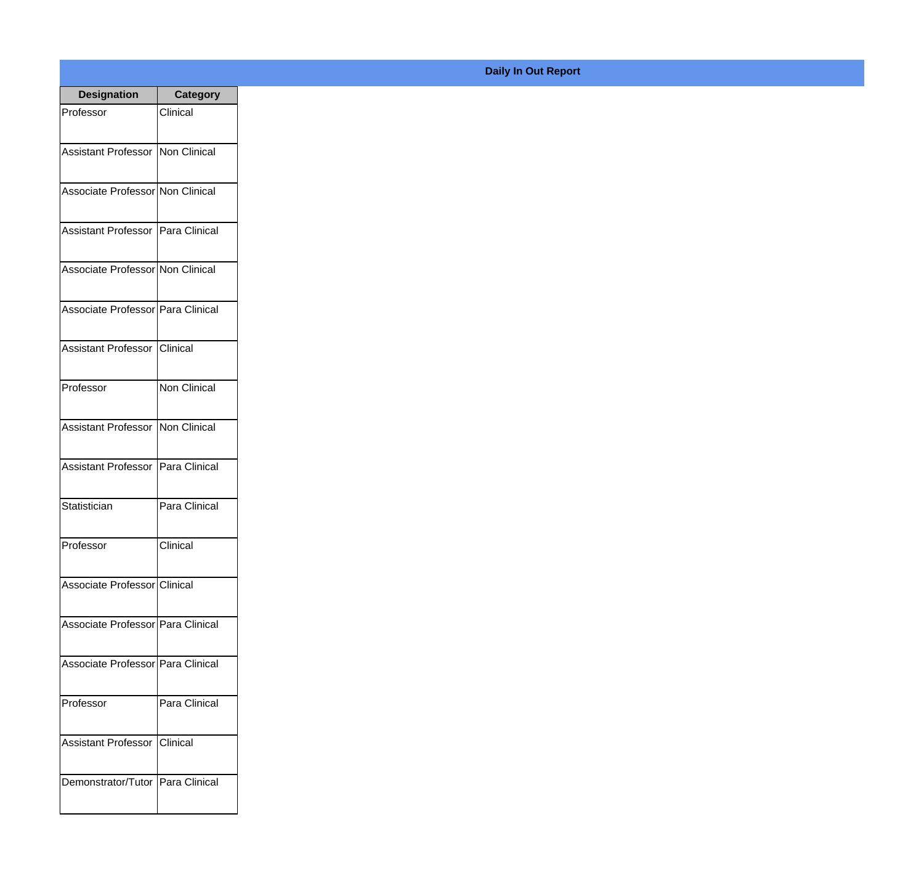| <b>Designation</b>                  | <b>Category</b> |
|-------------------------------------|-----------------|
| Professor                           | <b>Clinical</b> |
| Assistant Professor   Non Clinical  |                 |
|                                     |                 |
| Associate Professor Non Clinical    |                 |
|                                     |                 |
| Assistant Professor Para Clinical   |                 |
| Associate Professor Non Clinical    |                 |
|                                     |                 |
| Associate Professor Para Clinical   |                 |
|                                     |                 |
| Assistant Professor Clinical        |                 |
| Professor                           | Non Clinical    |
|                                     |                 |
| Assistant Professor   Non Clinical  |                 |
| Assistant Professor   Para Clinical |                 |
|                                     |                 |
| Statistician                        | Para Clinical   |
|                                     |                 |
| Professor                           | Clinical        |
| Associate Professor Clinical        |                 |
|                                     |                 |
| Associate Professor Para Clinical   |                 |
| Associate Professor Para Clinical   |                 |
|                                     |                 |
| Professor                           | Para Clinical   |
|                                     |                 |
| Assistant Professor Clinical        |                 |
| Demonstrator/Tutor Para Clinical    |                 |
|                                     |                 |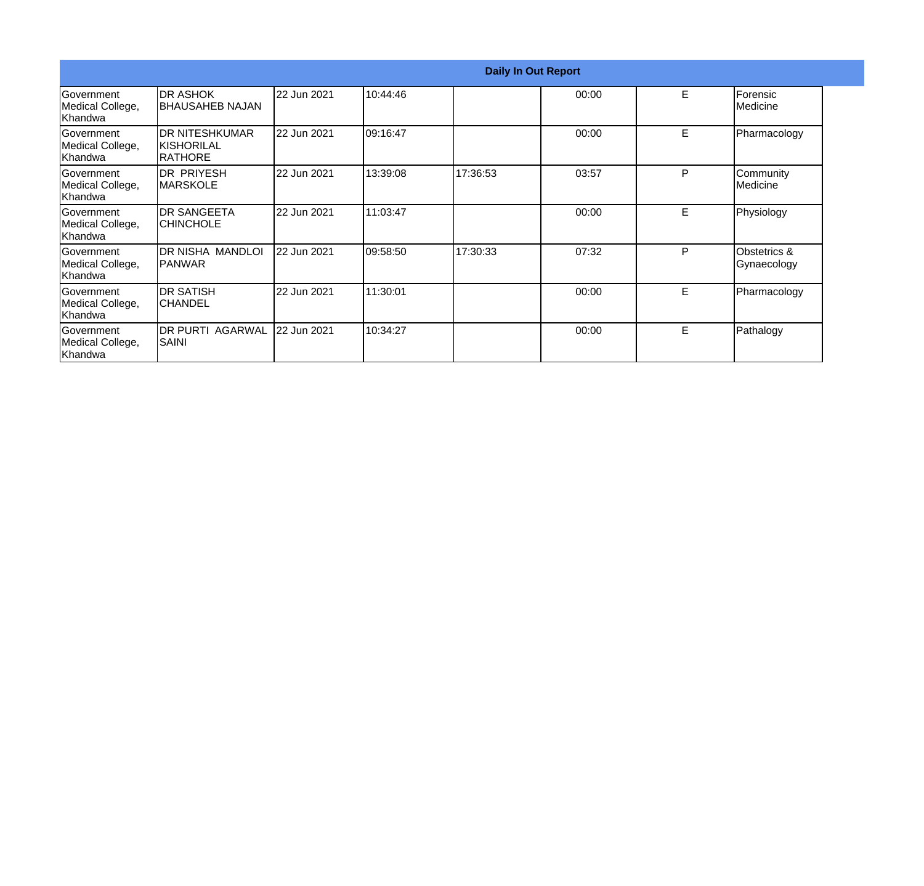|                                                   | <b>Daily In Out Report</b>                       |             |           |          |       |    |                             |  |
|---------------------------------------------------|--------------------------------------------------|-------------|-----------|----------|-------|----|-----------------------------|--|
| <b>Government</b><br>Medical College,<br>Khandwa  | IDR ASHOK<br><b>I</b> BHAUSAHEB NAJAN            | 22 Jun 2021 | 10:44:46  |          | 00:00 | E  | Forensic<br><b>Medicine</b> |  |
| <b>IGovernment</b><br>Medical College,<br>Khandwa | IDR NITESHKUMAR<br>IKISHORILAL<br><b>RATHORE</b> | 22 Jun 2021 | 109:16:47 |          | 00:00 | E  | Pharmacology                |  |
| Government<br>Medical College,<br>Khandwa         | <b>DR PRIYESH</b><br>IMARSKOLE                   | 22 Jun 2021 | 13:39:08  | 17:36:53 | 03:57 | P  | Community<br>Medicine       |  |
| Government<br>Medical College,<br>Khandwa         | <b>DR SANGEETA</b><br><b>CHINCHOLE</b>           | 22 Jun 2021 | 11:03:47  |          | 00:00 | E. | Physiology                  |  |
| Government<br>Medical College,<br>Khandwa         | DR NISHA MANDLOI<br>IPANWAR                      | 22 Jun 2021 | 09:58:50  | 17:30:33 | 07:32 | P  | Obstetrics &<br>Gynaecology |  |
| <b>IGovernment</b><br>Medical College,<br>Khandwa | <b>DR SATISH</b><br><b>CHANDEL</b>               | 22 Jun 2021 | 11:30:01  |          | 00:00 | E. | Pharmacology                |  |
| Government<br>Medical College,<br>Khandwa         | <b>DR PURTI AGARWAL</b><br><b>SAINI</b>          | 22 Jun 2021 | 10:34:27  |          | 00:00 | E  | Pathalogy                   |  |